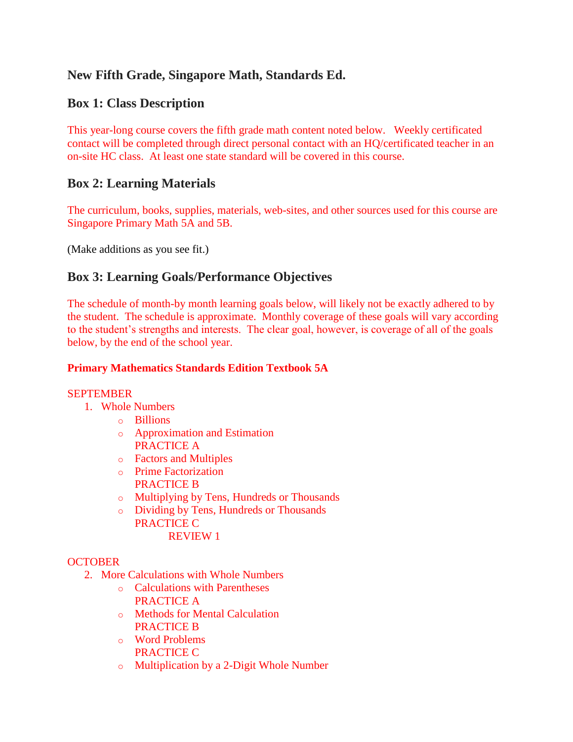# **New Fifth Grade, Singapore Math, Standards Ed.**

## **Box 1: Class Description**

This year-long course covers the fifth grade math content noted below. Weekly certificated contact will be completed through direct personal contact with an HQ/certificated teacher in an on-site HC class. At least one state standard will be covered in this course.

## **Box 2: Learning Materials**

The curriculum, books, supplies, materials, web-sites, and other sources used for this course are Singapore Primary Math 5A and 5B.

(Make additions as you see fit.)

## **Box 3: Learning Goals/Performance Objectives**

The schedule of month-by month learning goals below, will likely not be exactly adhered to by the student. The schedule is approximate. Monthly coverage of these goals will vary according to the student's strengths and interests. The clear goal, however, is coverage of all of the goals below, by the end of the school year.

## **Primary Mathematics Standards Edition Textbook 5A**

## **SEPTEMBER**

- 1. Whole Numbers
	- o Billions
	- o Approximation and Estimation PRACTICE A
	- o Factors and Multiples
	- o Prime Factorization PRACTICE B
	- o Multiplying by Tens, Hundreds or Thousands
	- o Dividing by Tens, Hundreds or Thousands PRACTICE C REVIEW 1

## **OCTOBER**

- 2. More Calculations with Whole Numbers
	- o Calculations with Parentheses PRACTICE A
	- o Methods for Mental Calculation PRACTICE B
	- o Word Problems PRACTICE C
	- o Multiplication by a 2-Digit Whole Number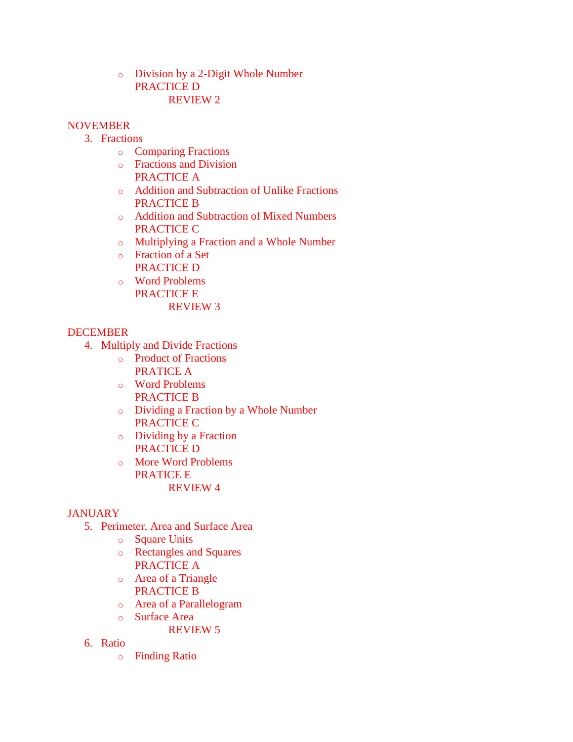o Division by a 2-Digit Whole Number PRACTICE D REVIEW 2

### **NOVEMBER**

- 3. Fractions
	- o Comparing Fractions
	- o Fractions and Division PRACTICE A
	- o Addition and Subtraction of Unlike Fractions PRACTICE B
	- o Addition and Subtraction of Mixed Numbers PRACTICE C
	- o Multiplying a Fraction and a Whole Number
	- o Fraction of a Set PRACTICE D
	- o Word Problems PRACTICE E REVIEW 3

## DECEMBER

- 4. Multiply and Divide Fractions
	- o Product of Fractions PRATICE A
	- o Word Problems PRACTICE B
	- o Dividing a Fraction by a Whole Number PRACTICE C
	- o Dividing by a Fraction PRACTICE D
	- o More Word Problems PRATICE E REVIEW 4

## **JANUARY**

- 5. Perimeter, Area and Surface Area
	- o Square Units
	- o Rectangles and Squares PRACTICE A
	- o Area of a Triangle PRACTICE B
	- o Area of a Parallelogram
	- o Surface Area
		- REVIEW 5
- 6. Ratio
	- o Finding Ratio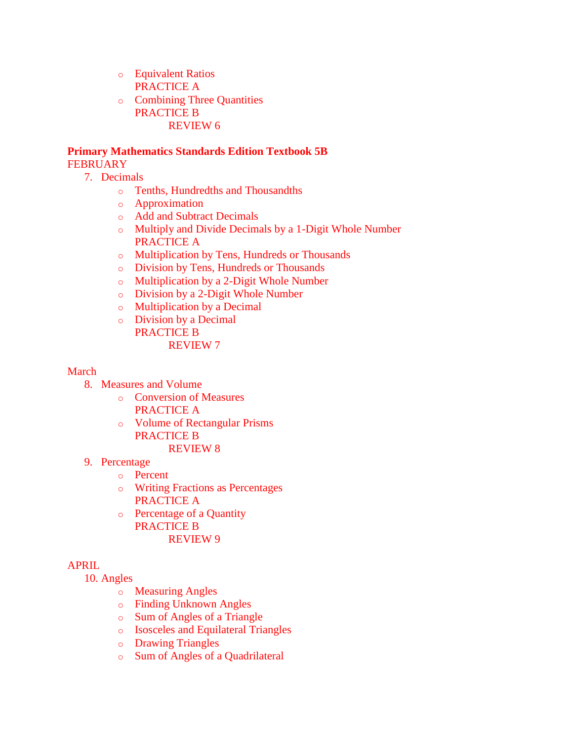- o Equivalent Ratios PRACTICE A
- o Combining Three Quantities PRACTICE B REVIEW 6

#### **Primary Mathematics Standards Edition Textbook 5B FEBRUARY**

- 7. Decimals
	- o Tenths, Hundredths and Thousandths
	- o Approximation
	- o Add and Subtract Decimals
	- o Multiply and Divide Decimals by a 1-Digit Whole Number PRACTICE A
	- o Multiplication by Tens, Hundreds or Thousands
	- o Division by Tens, Hundreds or Thousands
	- o Multiplication by a 2-Digit Whole Number
	- o Division by a 2-Digit Whole Number
	- o Multiplication by a Decimal
	- o Division by a Decimal PRACTICE B REVIEW 7

#### March

- 8. Measures and Volume
	- o Conversion of Measures
		- PRACTICE A
	- o Volume of Rectangular Prisms PRACTICE B
		- REVIEW 8
- 9. Percentage
	- o Percent
	- o Writing Fractions as Percentages PRACTICE A
	- o Percentage of a Quantity PRACTICE B REVIEW 9

## APRIL

10. Angles

- o Measuring Angles
- o Finding Unknown Angles
- o Sum of Angles of a Triangle
- o Isosceles and Equilateral Triangles
- o Drawing Triangles
- o Sum of Angles of a Quadrilateral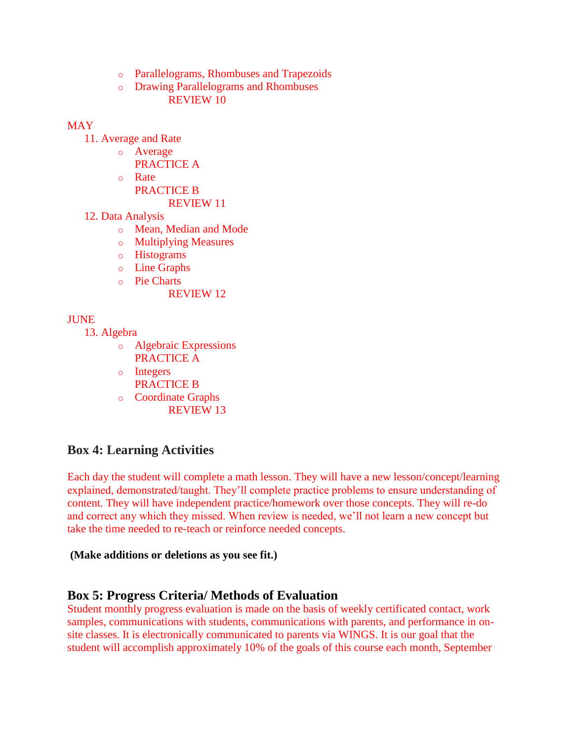- o Parallelograms, Rhombuses and Trapezoids
- o Drawing Parallelograms and Rhombuses REVIEW 10

#### **MAY**

- 11. Average and Rate
	- o Average PRACTICE A
	- o Rate
		- PRACTICE B

#### REVIEW 11

- 12. Data Analysis
	- o Mean, Median and Mode
	- o Multiplying Measures
	- o Histograms
	- o Line Graphs
	- o Pie Charts
		- REVIEW 12

## **JUNE**

- 13. Algebra
	- o Algebraic Expressions PRACTICE A
	- o Integers
	- PRACTICE B
	- o Coordinate Graphs REVIEW 13

## **Box 4: Learning Activities**

Each day the student will complete a math lesson. They will have a new lesson/concept/learning explained, demonstrated/taught. They'll complete practice problems to ensure understanding of content. They will have independent practice/homework over those concepts. They will re-do and correct any which they missed. When review is needed, we'll not learn a new concept but take the time needed to re-teach or reinforce needed concepts.

#### **(Make additions or deletions as you see fit.)**

## **Box 5: Progress Criteria/ Methods of Evaluation**

Student monthly progress evaluation is made on the basis of weekly certificated contact, work samples, communications with students, communications with parents, and performance in onsite classes. It is electronically communicated to parents via WINGS. It is our goal that the student will accomplish approximately 10% of the goals of this course each month, September